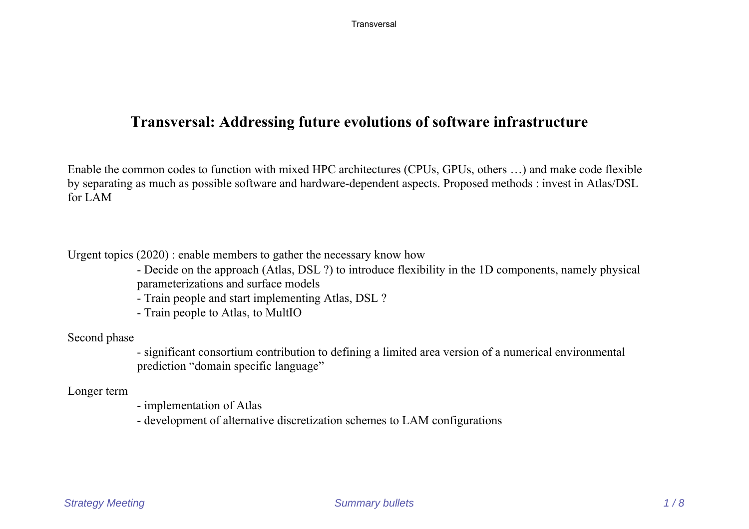## **Transversal: Addressing future evolutions of software infrastructure**

Enable the common codes to function with mixed HPC architectures (CPUs, GPUs, others …) and make code flexible by separating as much as possible software and hardware-dependent aspects. Proposed methods : invest in Atlas/DSL for LAM

Urgent topics (2020) : enable members to gather the necessary know how

- Decide on the approach (Atlas, DSL ?) to introduce flexibility in the 1D components, namely physical parameterizations and surface models

- Train people and start implementing Atlas, DSL ?

- Train people to Atlas, to MultIO

Second phase

- significant consortium contribution to defining a limited area version of a numerical environmental prediction "domain specific language"

Longer term

- implementation of Atlas

- development of alternative discretization schemes to LAM configurations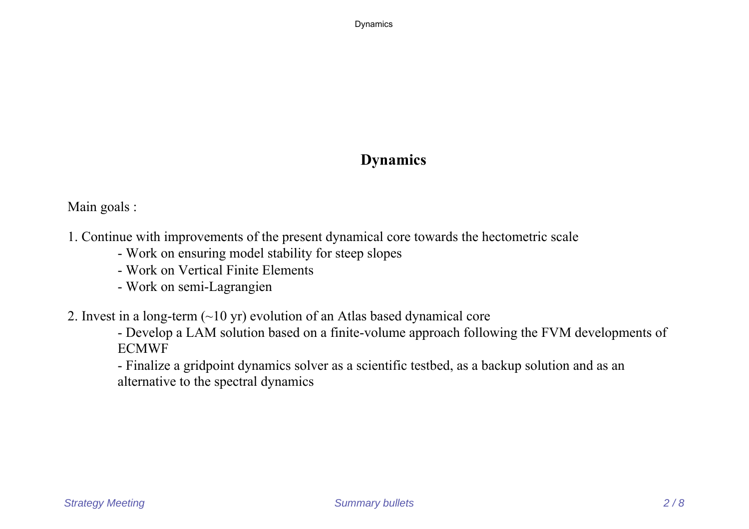Dynamics

# **Dynamics**

Main goals :

- 1. Continue with improvements of the present dynamical core towards the hectometric scale
	- Work on ensuring model stability for steep slopes
	- Work on Vertical Finite Elements
	- Work on semi-Lagrangien
- 2. Invest in a long-term (~10 yr) evolution of an Atlas based dynamical core
	- Develop a LAM solution based on a finite-volume approach following the FVM developments of ECMWF

- Finalize a gridpoint dynamics solver as a scientific testbed, as a backup solution and as an alternative to the spectral dynamics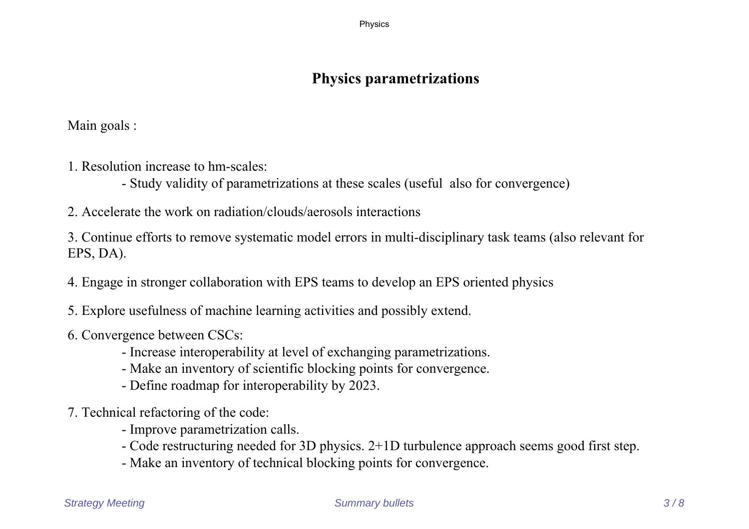Physics

# **Physics parametrizations**

Main goals :

- 1. Resolution increase to hm-scales:
	- Study validity of parametrizations at these scales (useful also for convergence)
- 2. Accelerate the work on radiation/clouds/aerosols interactions

3. Continue efforts to remove systematic model errors in multi-disciplinary task teams (also relevant for EPS, DA).

- 4. Engage in stronger collaboration with EPS teams to develop an EPS oriented physics
- 5. Explore usefulness of machine learning activities and possibly extend.
- 6. Convergence between CSCs:
	- Increase interoperability at level of exchanging parametrizations.
	- Make an inventory of scientific blocking points for convergence.
	- Define roadmap for interoperability by 2023.
- 7. Technical refactoring of the code:
	- Improve parametrization calls.
	- Code restructuring needed for 3D physics. 2+1D turbulence approach seems good first step.
	- Make an inventory of technical blocking points for convergence.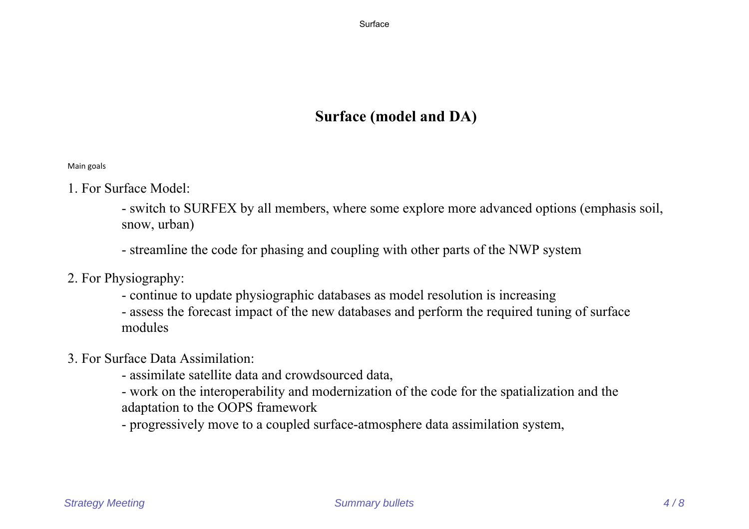# **Surface (model and DA)**

Main goals

- 1. For Surface Model:
	- switch to SURFEX by all members, where some explore more advanced options (emphasis soil, snow, urban)
	- streamline the code for phasing and coupling with other parts of the NWP system
- 2. For Physiography:
	- continue to update physiographic databases as model resolution is increasing
	- assess the forecast impact of the new databases and perform the required tuning of surface modules
- 3. For Surface Data Assimilation:
	- assimilate satellite data and crowdsourced data,
	- work on the interoperability and modernization of the code for the spatialization and the adaptation to the OOPS framework
	- progressively move to a coupled surface-atmosphere data assimilation system,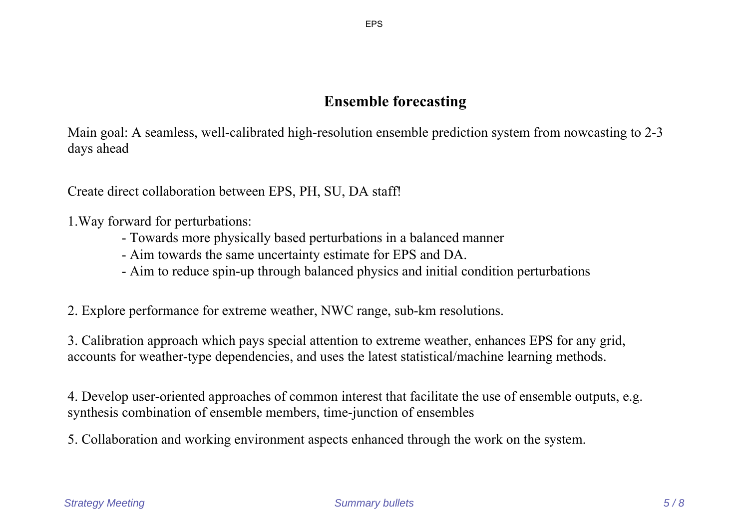### **Ensemble forecasting**

Main goal: A seamless, well-calibrated high-resolution ensemble prediction system from nowcasting to 2-3 days ahead

Create direct collaboration between EPS, PH, SU, DA staff!

1.Way forward for perturbations:

- Towards more physically based perturbations in a balanced manner
- Aim towards the same uncertainty estimate for EPS and DA.
- Aim to reduce spin-up through balanced physics and initial condition perturbations

2. Explore performance for extreme weather, NWC range, sub-km resolutions.

3. Calibration approach which pays special attention to extreme weather, enhances EPS for any grid, accounts for weather-type dependencies, and uses the latest statistical/machine learning methods.

4. Develop user-oriented approaches of common interest that facilitate the use of ensemble outputs, e.g. synthesis combination of ensemble members, time-junction of ensembles

5. Collaboration and working environment aspects enhanced through the work on the system.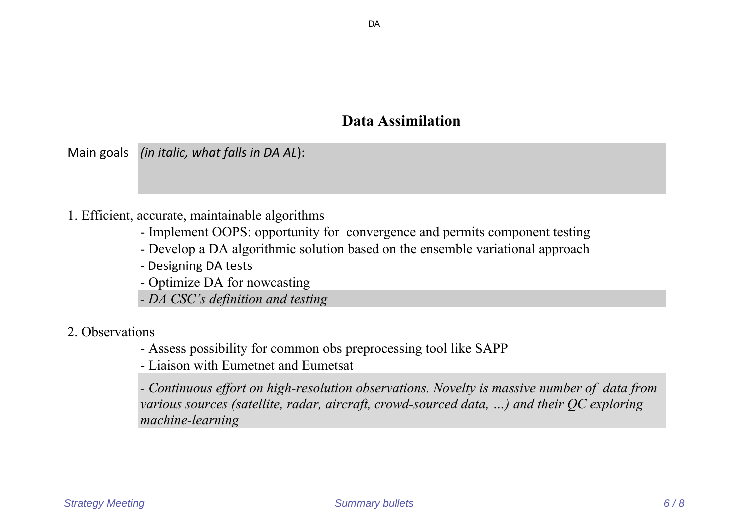### **Data Assimilation**

Main goals *(in italic, what falls in DA AL*):

#### 1. Efficient, accurate, maintainable algorithms

- Implement OOPS: opportunity for convergence and permits component testing
- Develop a DA algorithmic solution based on the ensemble variational approach
- Designing DA tests
- Optimize DA for nowcasting
- *DA CSC's definition and testing*

#### 2. Observations

- Assess possibility for common obs preprocessing tool like SAPP

- Liaison with Eumetnet and Eumetsat

*- Continuous effort on high-resolution observations. Novelty is massive number of data from various sources (satellite, radar, aircraft, crowd-sourced data, …) and their QC exploring machine-learning*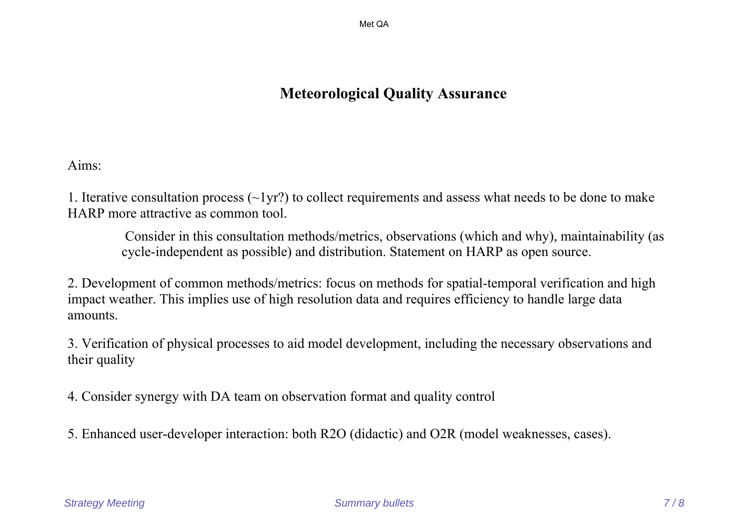Met QA

# **Meteorological Quality Assurance**

Aims:

1. Iterative consultation process (~1yr?) to collect requirements and assess what needs to be done to make HARP more attractive as common tool.

 Consider in this consultation methods/metrics, observations (which and why), maintainability (as cycle-independent as possible) and distribution. Statement on HARP as open source.

2. Development of common methods/metrics: focus on methods for spatial-temporal verification and high impact weather. This implies use of high resolution data and requires efficiency to handle large data amounts.

3. Verification of physical processes to aid model development, including the necessary observations and their quality

4. Consider synergy with DA team on observation format and quality control

5. Enhanced user-developer interaction: both R2O (didactic) and O2R (model weaknesses, cases).